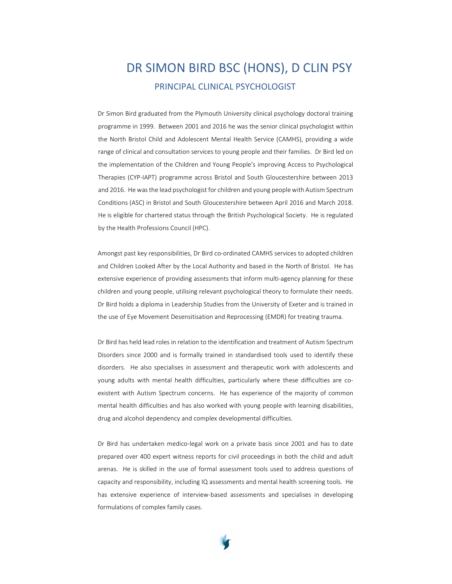## DR SIMON BIRD BSC (HONS), D CLIN PSY PRINCIPAL CLINICAL PSYCHOLOGIST

Dr Simon Bird graduated from the Plymouth University clinical psychology doctoral training programme in 1999. Between 2001 and 2016 he was the senior clinical psychologist within the North Bristol Child and Adolescent Mental Health Service (CAMHS), providing a wide range of clinical and consultation services to young people and their families. Dr Bird led on the implementation of the Children and Young People's improving Access to Psychological Therapies (CYP-IAPT) programme across Bristol and South Gloucestershire between 2013 and 2016. He was the lead psychologist for children and young people with Autism Spectrum Conditions (ASC) in Bristol and South Gloucestershire between April 2016 and March 2018. He is eligible for chartered status through the British Psychological Society. He is regulated by the Health Professions Council (HPC).

Amongst past key responsibilities, Dr Bird co-ordinated CAMHS services to adopted children and Children Looked After by the Local Authority and based in the North of Bristol. He has extensive experience of providing assessments that inform multi-agency planning for these children and young people, utilising relevant psychological theory to formulate their needs. Dr Bird holds a diploma in Leadership Studies from the University of Exeter and is trained in the use of Eye Movement Desensitisation and Reprocessing (EMDR) for treating trauma.

Dr Bird has held lead roles in relation to the identification and treatment of Autism Spectrum Disorders since 2000 and is formally trained in standardised tools used to identify these disorders. He also specialises in assessment and therapeutic work with adolescents and young adults with mental health difficulties, particularly where these difficulties are coexistent with Autism Spectrum concerns. He has experience of the majority of common mental health difficulties and has also worked with young people with learning disabilities, drug and alcohol dependency and complex developmental difficulties.

Dr Bird has undertaken medico-legal work on a private basis since 2001 and has to date prepared over 400 expert witness reports for civil proceedings in both the child and adult arenas. He is skilled in the use of formal assessment tools used to address questions of capacity and responsibility, including IQ assessments and mental health screening tools. He has extensive experience of interview-based assessments and specialises in developing formulations of complex family cases.